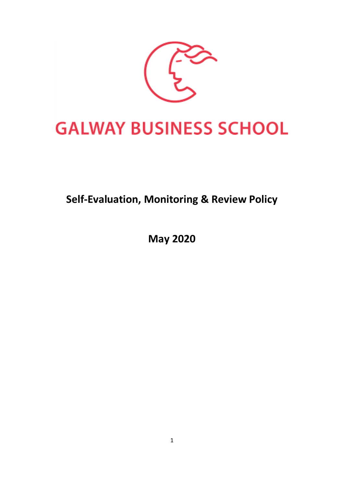

# **GALWAY BUSINESS SCHOOL**

# **Self-Evaluation, Monitoring & Review Policy**

**May 2020**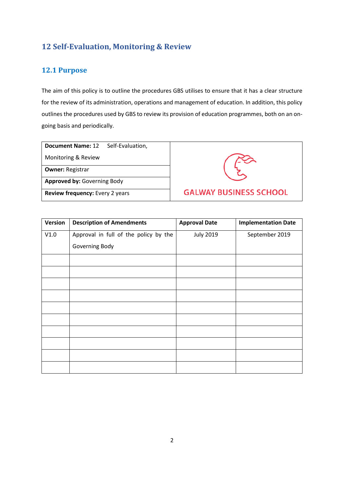## **12 Self-Evaluation, Monitoring & Review**

### **12.1 Purpose**

The aim of this policy is to outline the procedures GBS utilises to ensure that it has a clear structure for the review of its administration, operations and management of education. In addition, this policy outlines the procedures used by GBS to review its provision of education programmes, both on an ongoing basis and periodically.

| Document Name: 12 | Self-Evaluation, |
|-------------------|------------------|
|-------------------|------------------|

Monitoring & Review

**Owner:** Registrar

**Approved by:** Governing Body

**Review frequency:** Every 2 years



| Version | <b>Description of Amendments</b>      | <b>Approval Date</b> | <b>Implementation Date</b> |
|---------|---------------------------------------|----------------------|----------------------------|
| V1.0    | Approval in full of the policy by the | <b>July 2019</b>     | September 2019             |
|         | Governing Body                        |                      |                            |
|         |                                       |                      |                            |
|         |                                       |                      |                            |
|         |                                       |                      |                            |
|         |                                       |                      |                            |
|         |                                       |                      |                            |
|         |                                       |                      |                            |
|         |                                       |                      |                            |
|         |                                       |                      |                            |
|         |                                       |                      |                            |
|         |                                       |                      |                            |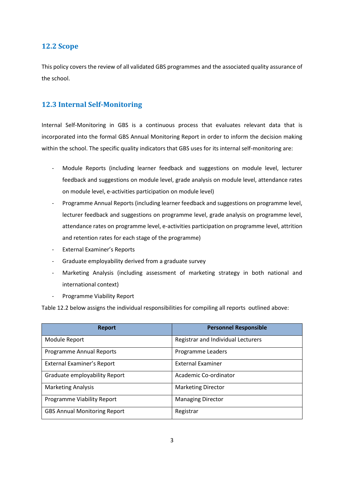#### **12.2 Scope**

This policy covers the review of all validated GBS programmes and the associated quality assurance of the school.

#### **12.3 Internal Self-Monitoring**

Internal Self-Monitoring in GBS is a continuous process that evaluates relevant data that is incorporated into the formal GBS Annual Monitoring Report in order to inform the decision making within the school. The specific quality indicators that GBS uses for its internal self-monitoring are:

- Module Reports (including learner feedback and suggestions on module level, lecturer feedback and suggestions on module level, grade analysis on module level, attendance rates on module level, e-activities participation on module level)
- Programme Annual Reports (including learner feedback and suggestions on programme level, lecturer feedback and suggestions on programme level, grade analysis on programme level, attendance rates on programme level, e-activities participation on programme level, attrition and retention rates for each stage of the programme)
- External Examiner's Reports
- Graduate employability derived from a graduate survey
- Marketing Analysis (including assessment of marketing strategy in both national and international context)
- Programme Viability Report

Table 12.2 below assigns the individual responsibilities for compiling all reports outlined above:

| <b>Report</b>                       | <b>Personnel Responsible</b>       |
|-------------------------------------|------------------------------------|
| Module Report                       | Registrar and Individual Lecturers |
| Programme Annual Reports            | Programme Leaders                  |
| <b>External Examiner's Report</b>   | <b>External Examiner</b>           |
| Graduate employability Report       | Academic Co-ordinator              |
| <b>Marketing Analysis</b>           | <b>Marketing Director</b>          |
| Programme Viability Report          | <b>Managing Director</b>           |
| <b>GBS Annual Monitoring Report</b> | Registrar                          |